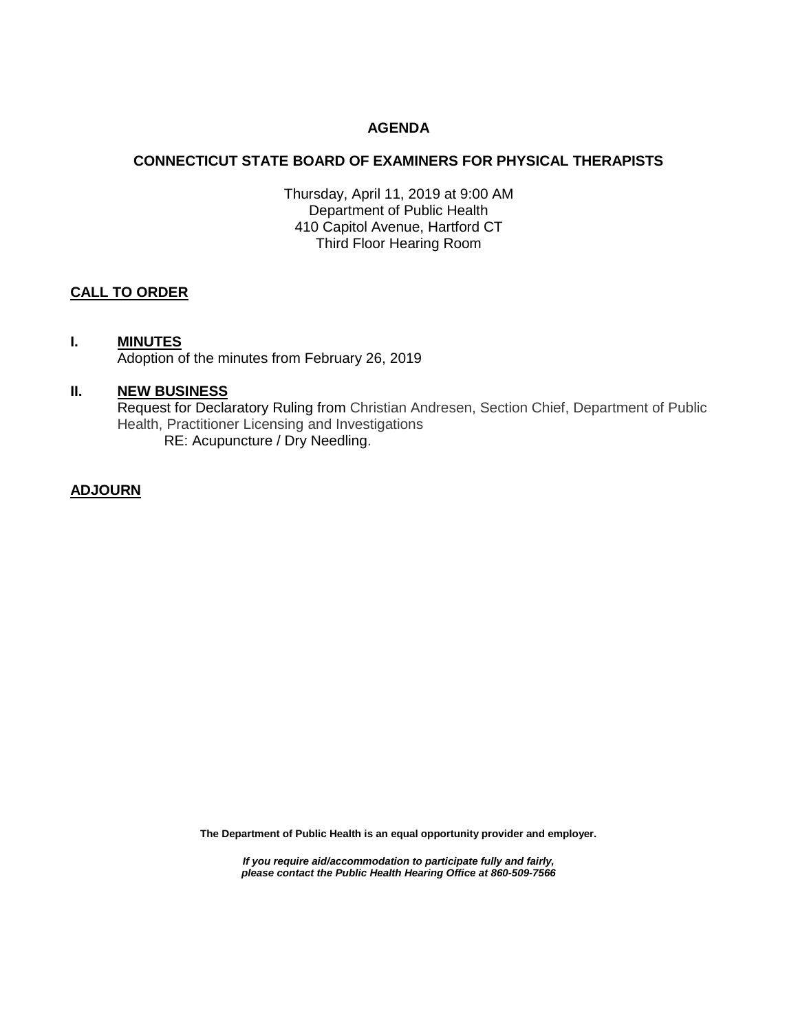## **AGENDA**

## **CONNECTICUT STATE BOARD OF EXAMINERS FOR PHYSICAL THERAPISTS**

Thursday, April 11, 2019 at 9:00 AM Department of Public Health 410 Capitol Avenue, Hartford CT Third Floor Hearing Room

# **CALL TO ORDER**

#### **I. MINUTES**

Adoption of the minutes from February 26, 2019

## **II. NEW BUSINESS**

Request for Declaratory Ruling from Christian Andresen, Section Chief, Department of Public Health, Practitioner Licensing and Investigations RE: Acupuncture / Dry Needling.

#### **ADJOURN**

**The Department of Public Health is an equal opportunity provider and employer.**

*If you require aid/accommodation to participate fully and fairly, please contact the Public Health Hearing Office at 860-509-7566*